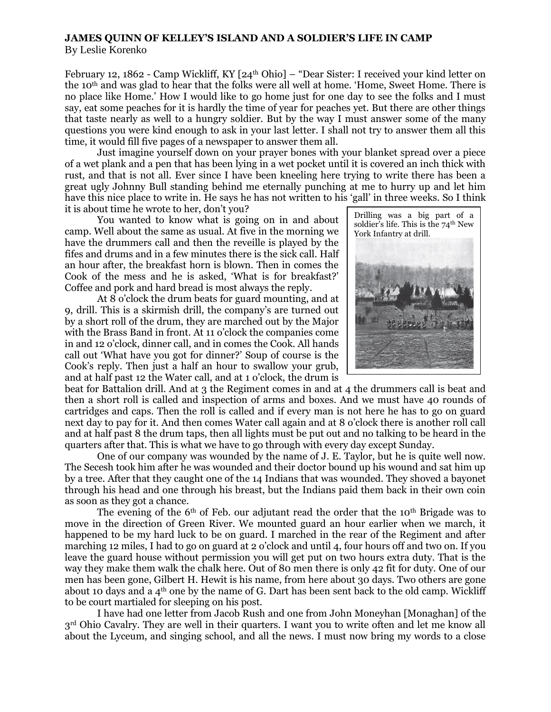## **JAMES QUINN OF KELLEY'S ISLAND AND A SOLDIER'S LIFE IN CAMP**

By Leslie Korenko

February 12, 1862 - Camp Wickliff, KY [24<sup>th</sup> Ohio] – "Dear Sister: I received your kind letter on the 10th and was glad to hear that the folks were all well at home. 'Home, Sweet Home. There is no place like Home.' How I would like to go home just for one day to see the folks and I must say, eat some peaches for it is hardly the time of year for peaches yet. But there are other things that taste nearly as well to a hungry soldier. But by the way I must answer some of the many questions you were kind enough to ask in your last letter. I shall not try to answer them all this time, it would fill five pages of a newspaper to answer them all.

Just imagine yourself down on your prayer bones with your blanket spread over a piece of a wet plank and a pen that has been lying in a wet pocket until it is covered an inch thick with rust, and that is not all. Ever since I have been kneeling here trying to write there has been a great ugly Johnny Bull standing behind me eternally punching at me to hurry up and let him have this nice place to write in. He says he has not written to his 'gall' in three weeks. So I think it is about time he wrote to her, don't you?

You wanted to know what is going on in and about camp. Well about the same as usual. At five in the morning we have the drummers call and then the reveille is played by the fifes and drums and in a few minutes there is the sick call. Half an hour after, the breakfast horn is blown. Then in comes the Cook of the mess and he is asked, 'What is for breakfast?' Coffee and pork and hard bread is most always the reply.

At 8 o'clock the drum beats for guard mounting, and at 9, drill. This is a skirmish drill, the company's are turned out by a short roll of the drum, they are marched out by the Major with the Brass Band in front. At 11 o'clock the companies come in and 12 o'clock, dinner call, and in comes the Cook. All hands call out 'What have you got for dinner?' Soup of course is the Cook's reply. Then just a half an hour to swallow your grub, and at half past 12 the Water call, and at 1 o'clock, the drum is



beat for Battalion drill. And at 3 the Regiment comes in and at 4 the drummers call is beat and then a short roll is called and inspection of arms and boxes. And we must have 40 rounds of cartridges and caps. Then the roll is called and if every man is not here he has to go on guard next day to pay for it. And then comes Water call again and at 8 o'clock there is another roll call and at half past 8 the drum taps, then all lights must be put out and no talking to be heard in the quarters after that. This is what we have to go through with every day except Sunday.

One of our company was wounded by the name of J. E. Taylor, but he is quite well now. The Secesh took him after he was wounded and their doctor bound up his wound and sat him up by a tree. After that they caught one of the 14 Indians that was wounded. They shoved a bayonet through his head and one through his breast, but the Indians paid them back in their own coin as soon as they got a chance.

The evening of the 6<sup>th</sup> of Feb. our adjutant read the order that the 10<sup>th</sup> Brigade was to move in the direction of Green River. We mounted guard an hour earlier when we march, it happened to be my hard luck to be on guard. I marched in the rear of the Regiment and after marching 12 miles, I had to go on guard at 2 o'clock and until 4, four hours off and two on. If you leave the guard house without permission you will get put on two hours extra duty. That is the way they make them walk the chalk here. Out of 80 men there is only 42 fit for duty. One of our men has been gone, Gilbert H. Hewit is his name, from here about 30 days. Two others are gone about 10 days and a  $4<sup>th</sup>$  one by the name of G. Dart has been sent back to the old camp. Wickliff to be court martialed for sleeping on his post.

I have had one letter from Jacob Rush and one from John Moneyhan [Monaghan] of the 3rd Ohio Cavalry. They are well in their quarters. I want you to write often and let me know all about the Lyceum, and singing school, and all the news. I must now bring my words to a close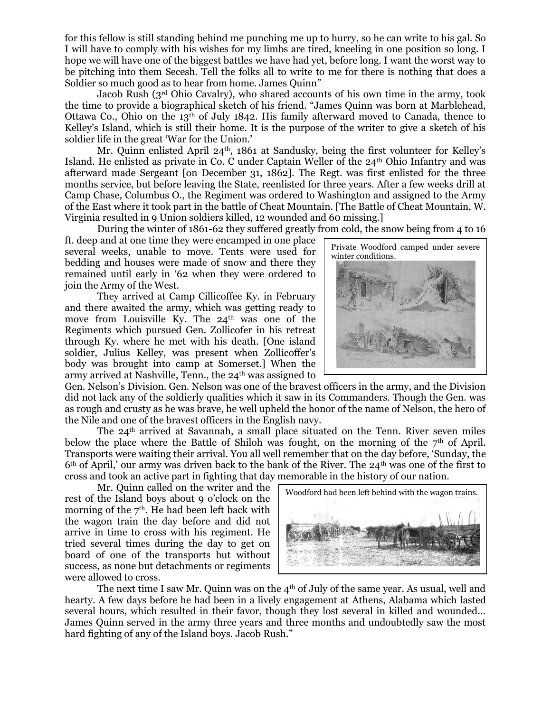for this fellow is still standing behind me punching me up to hurry, so he can write to his gal. So I will have to comply with his wishes for my limbs are tired, kneeling in one position so long. I hope we will have one of the biggest battles we have had yet, before long. I want the worst way to be pitching into them Secesh. Tell the folks all to write to me for there is nothing that does a Soldier so much good as to hear from home. James Quinn"

Jacob Rush (3rd Ohio Cavalry), who shared accounts of his own time in the army, took the time to provide a biographical sketch of his friend. "James Quinn was born at Marblehead, Ottawa Co., Ohio on the  $13<sup>th</sup>$  of July 1842. His family afterward moved to Canada, thence to Kelley's Island, which is still their home. It is the purpose of the writer to give a sketch of his soldier life in the great 'War for the Union.'

Mr. Quinn enlisted April 24<sup>th</sup>, 1861 at Sandusky, being the first volunteer for Kelley's Island. He enlisted as private in Co. C under Captain Weller of the  $24<sup>th</sup>$  Ohio Infantry and was afterward made Sergeant [on December 31, 1862]. The Regt. was first enlisted for the three months service, but before leaving the State, reenlisted for three years. After a few weeks drill at Camp Chase, Columbus O., the Regiment was ordered to Washington and assigned to the Army of the East where it took part in the battle of Cheat Mountain. [The Battle of Cheat Mountain, W. Virginia resulted in 9 Union soldiers killed, 12 wounded and 60 missing.]

During the winter of 1861-62 they suffered greatly from cold, the snow being from 4 to 16

ft. deep and at one time they were encamped in one place several weeks, unable to move. Tents were used for bedding and houses were made of snow and there they remained until early in '62 when they were ordered to join the Army of the West.

They arrived at Camp Cillicoffee Ky. in February and there awaited the army, which was getting ready to move from Louisville Ky. The 24<sup>th</sup> was one of the Regiments which pursued Gen. Zollicofer in his retreat through Ky. where he met with his death. [One island soldier, Julius Kelley, was present when Zollicoffer's body was brought into camp at Somerset.] When the army arrived at Nashville, Tenn., the  $24<sup>th</sup>$  was assigned to

Gen. Nelson's Division. Gen. Nelson was one of the bravest officers in the army, and the Division did not lack any of the soldierly qualities which it saw in its Commanders. Though the Gen. was as rough and crusty as he was brave, he well upheld the honor of the name of Nelson, the hero of the Nile and one of the bravest officers in the English navy.

The  $24<sup>th</sup>$  arrived at Savannah, a small place situated on the Tenn. River seven miles below the place where the Battle of Shiloh was fought, on the morning of the  $7<sup>th</sup>$  of April. Transports were waiting their arrival. You all well remember that on the day before, 'Sunday, the 6th of April,' our army was driven back to the bank of the River. The 24th was one of the first to cross and took an active part in fighting that day memorable in the history of our nation.

Mr. Quinn called on the writer and the rest of the Island boys about 9 o'clock on the morning of the  $7<sup>th</sup>$ . He had been left back with the wagon train the day before and did not arrive in time to cross with his regiment. He tried several times during the day to get on board of one of the transports but without success, as none but detachments or regiments were allowed to cross.

The next time I saw Mr. Quinn was on the 4<sup>th</sup> of July of the same year. As usual, well and hearty. A few days before he had been in a lively engagement at Athens, Alabama which lasted several hours, which resulted in their favor, though they lost several in killed and wounded… James Quinn served in the army three years and three months and undoubtedly saw the most hard fighting of any of the Island boys. Jacob Rush."